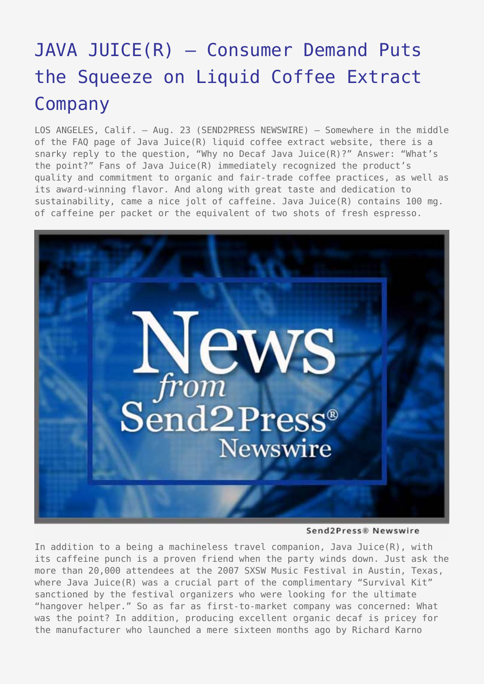## JAVA JUICE(R) - Consumer Demand Puts [the Squeeze on Liquid Coffee Extract](https://www.send2press.com/wire/2007-08-0823-002/) [Company](https://www.send2press.com/wire/2007-08-0823-002/)

LOS ANGELES, Calif. – Aug. 23 (SEND2PRESS NEWSWIRE) — Somewhere in the middle of the FAQ page of Java Juice(R) liquid coffee extract website, there is a snarky reply to the question, "Why no Decaf Java Juice(R)?" Answer: "What's the point?" Fans of Java Juice(R) immediately recognized the product's quality and commitment to organic and fair-trade coffee practices, as well as its award-winning flavor. And along with great taste and dedication to sustainability, came a nice jolt of caffeine. Java Juice(R) contains 100 mg. of caffeine per packet or the equivalent of two shots of fresh espresso.



Send2Press® Newswire

In addition to a being a machineless travel companion, Java Juice(R), with its caffeine punch is a proven friend when the party winds down. Just ask the more than 20,000 attendees at the 2007 SXSW Music Festival in Austin, Texas, where Java Juice(R) was a crucial part of the complimentary "Survival Kit" sanctioned by the festival organizers who were looking for the ultimate "hangover helper." So as far as first-to-market company was concerned: What was the point? In addition, producing excellent organic decaf is pricey for the manufacturer who launched a mere sixteen months ago by Richard Karno